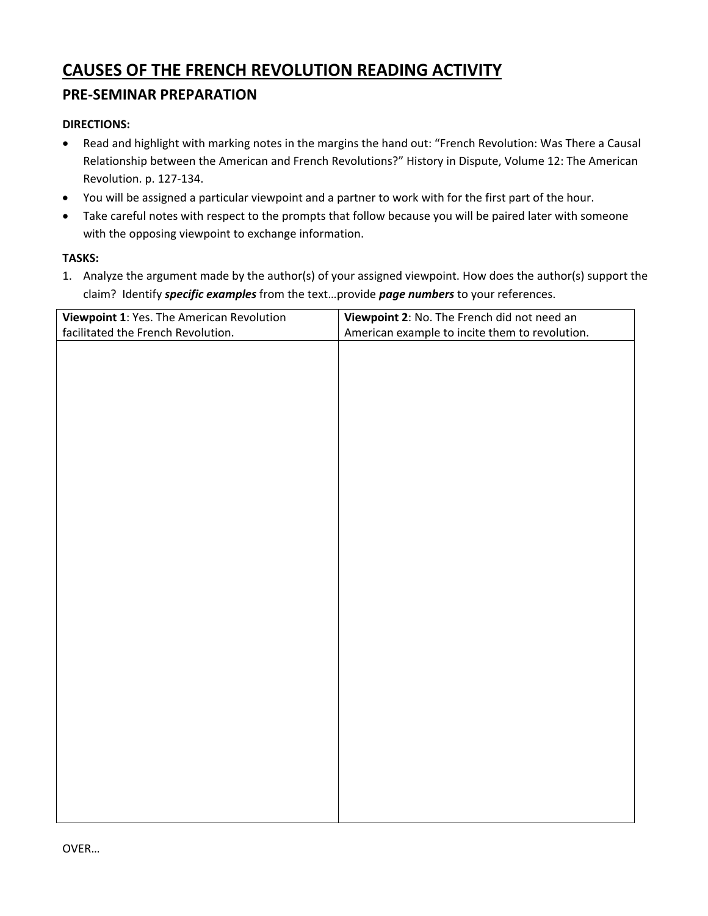# **CAUSES OF THE FRENCH REVOLUTION READING ACTIVITY**

# **PRE‐SEMINAR PREPARATION**

## **DIRECTIONS:**

- Read and highlight with marking notes in the margins the hand out: "French Revolution: Was There a Causal Relationship between the American and French Revolutions?" History in Dispute, Volume 12: The American Revolution. p. 127‐134.
- You will be assigned a particular viewpoint and a partner to work with for the first part of the hour.
- Take careful notes with respect to the prompts that follow because you will be paired later with someone with the opposing viewpoint to exchange information.

### **TASKS:**

1. Analyze the argument made by the author(s) of your assigned viewpoint. How does the author(s) support the claim? Identify *specific examples* from the text…provide *page numbers* to your references.

| Viewpoint 1: Yes. The American Revolution | Viewpoint 2: No. The French did not need an    |
|-------------------------------------------|------------------------------------------------|
| facilitated the French Revolution.        | American example to incite them to revolution. |
|                                           |                                                |
|                                           |                                                |
|                                           |                                                |
|                                           |                                                |
|                                           |                                                |
|                                           |                                                |
|                                           |                                                |
|                                           |                                                |
|                                           |                                                |
|                                           |                                                |
|                                           |                                                |
|                                           |                                                |
|                                           |                                                |
|                                           |                                                |
|                                           |                                                |
|                                           |                                                |
|                                           |                                                |
|                                           |                                                |
|                                           |                                                |
|                                           |                                                |
|                                           |                                                |
|                                           |                                                |
|                                           |                                                |
|                                           |                                                |
|                                           |                                                |
|                                           |                                                |
|                                           |                                                |
|                                           |                                                |
|                                           |                                                |